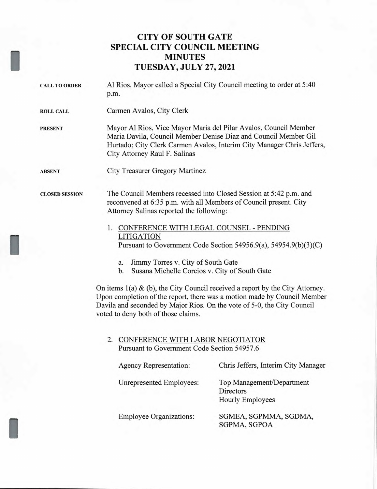## **CITY OF SOUTH GATE SPECIAL CITY COUNCIL MEETING MINUTES TUESDAY, JULY 27, 2021**

| <b>CALL TO ORDER</b>  | Al Rios, Mayor called a Special City Council meeting to order at 5:40<br>p.m.                                                                                                                                                                                                                                                                                                                                                                                                                                                                                                                                 |  |                        |                                     |                                               |
|-----------------------|---------------------------------------------------------------------------------------------------------------------------------------------------------------------------------------------------------------------------------------------------------------------------------------------------------------------------------------------------------------------------------------------------------------------------------------------------------------------------------------------------------------------------------------------------------------------------------------------------------------|--|------------------------|-------------------------------------|-----------------------------------------------|
| <b>ROLL CALL</b>      | Carmen Avalos, City Clerk                                                                                                                                                                                                                                                                                                                                                                                                                                                                                                                                                                                     |  |                        |                                     |                                               |
| <b>PRESENT</b>        | Mayor Al Rios, Vice Mayor Maria del Pilar Avalos, Council Member<br>Maria Davila, Council Member Denise Diaz and Council Member Gil<br>Hurtado; City Clerk Carmen Avalos, Interim City Manager Chris Jeffers,<br>City Attorney Raul F. Salinas                                                                                                                                                                                                                                                                                                                                                                |  |                        |                                     |                                               |
| <b>ABSENT</b>         | <b>City Treasurer Gregory Martinez</b>                                                                                                                                                                                                                                                                                                                                                                                                                                                                                                                                                                        |  |                        |                                     |                                               |
| <b>CLOSED SESSION</b> | The Council Members recessed into Closed Session at 5:42 p.m. and<br>reconvened at 6:35 p.m. with all Members of Council present. City<br>Attorney Salinas reported the following:                                                                                                                                                                                                                                                                                                                                                                                                                            |  |                        |                                     |                                               |
|                       | 1. CONFERENCE WITH LEGAL COUNSEL - PENDING<br><b>LITIGATION</b><br>Pursuant to Government Code Section 54956.9(a), 54954.9(b)(3)(C)<br>Jimmy Torres v. City of South Gate<br>a.<br>Susana Michelle Corcios v. City of South Gate<br>b.<br>On items $1(a)$ & (b), the City Council received a report by the City Attorney.<br>Upon completion of the report, there was a motion made by Council Member<br>Davila and seconded by Major Rios. On the vote of 5-0, the City Council<br>voted to deny both of those claims.<br>2. CONFERENCE WITH LABOR NEGOTIATOR<br>Pursuant to Government Code Section 54957.6 |  |                        |                                     |                                               |
|                       |                                                                                                                                                                                                                                                                                                                                                                                                                                                                                                                                                                                                               |  | Agency Representation: | Chris Jeffers, Interim City Manager |                                               |
|                       |                                                                                                                                                                                                                                                                                                                                                                                                                                                                                                                                                                                                               |  |                        | Unrepresented Employees:            | Top Management/Department<br><b>Directors</b> |

Employee Organizations: SGMEA, SGPMMA, SGDMA, SGPMA, SGPOA

Hourly Employees